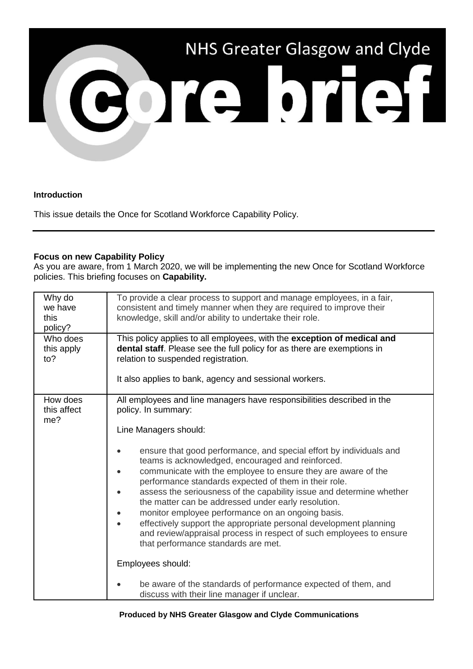

## **Introduction**

This issue details the Once for Scotland Workforce Capability Policy.

## **Focus on new Capability Policy**

As you are aware, from 1 March 2020, we will be implementing the new Once for Scotland Workforce policies. This briefing focuses on **Capability.**

| Why do<br>we have<br>this<br>policy? | To provide a clear process to support and manage employees, in a fair,<br>consistent and timely manner when they are required to improve their<br>knowledge, skill and/or ability to undertake their role.                                                                                                                                                                                                                                                                                                                                                                                                                                                                                                                                                                                                                                                                                |
|--------------------------------------|-------------------------------------------------------------------------------------------------------------------------------------------------------------------------------------------------------------------------------------------------------------------------------------------------------------------------------------------------------------------------------------------------------------------------------------------------------------------------------------------------------------------------------------------------------------------------------------------------------------------------------------------------------------------------------------------------------------------------------------------------------------------------------------------------------------------------------------------------------------------------------------------|
| Who does<br>this apply<br>to?        | This policy applies to all employees, with the exception of medical and<br>dental staff. Please see the full policy for as there are exemptions in<br>relation to suspended registration.<br>It also applies to bank, agency and sessional workers.                                                                                                                                                                                                                                                                                                                                                                                                                                                                                                                                                                                                                                       |
| How does<br>this affect<br>me?       | All employees and line managers have responsibilities described in the<br>policy. In summary:<br>Line Managers should:<br>ensure that good performance, and special effort by individuals and<br>teams is acknowledged, encouraged and reinforced.<br>communicate with the employee to ensure they are aware of the<br>performance standards expected of them in their role.<br>assess the seriousness of the capability issue and determine whether<br>the matter can be addressed under early resolution.<br>monitor employee performance on an ongoing basis.<br>effectively support the appropriate personal development planning<br>and review/appraisal process in respect of such employees to ensure<br>that performance standards are met.<br>Employees should:<br>be aware of the standards of performance expected of them, and<br>discuss with their line manager if unclear. |

## **Produced by NHS Greater Glasgow and Clyde Communications**